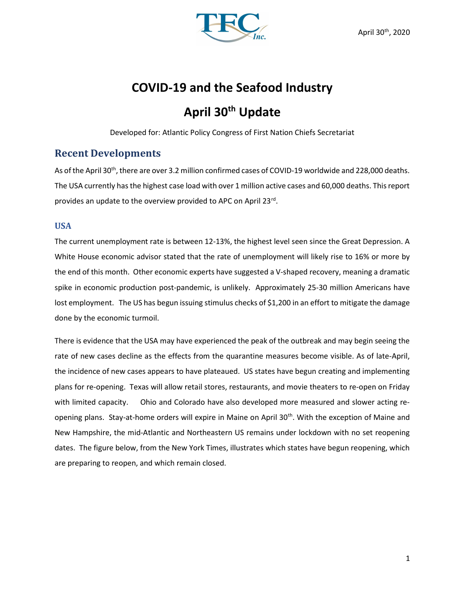

# COVID-19 and the Seafood Industry

# April 30<sup>th</sup> Update

Developed for: Atlantic Policy Congress of First Nation Chiefs Secretariat

# Recent Developments

As of the April 30<sup>th</sup>, there are over 3.2 million confirmed cases of COVID-19 worldwide and 228,000 deaths. The USA currently has the highest case load with over 1 million active cases and 60,000 deaths. This report provides an update to the overview provided to APC on April 23rd.

#### USA

The current unemployment rate is between 12-13%, the highest level seen since the Great Depression. A White House economic advisor stated that the rate of unemployment will likely rise to 16% or more by the end of this month. Other economic experts have suggested a V-shaped recovery, meaning a dramatic spike in economic production post-pandemic, is unlikely. Approximately 25-30 million Americans have lost employment. The US has begun issuing stimulus checks of \$1,200 in an effort to mitigate the damage done by the economic turmoil.

There is evidence that the USA may have experienced the peak of the outbreak and may begin seeing the rate of new cases decline as the effects from the quarantine measures become visible. As of late-April, the incidence of new cases appears to have plateaued. US states have begun creating and implementing plans for re-opening. Texas will allow retail stores, restaurants, and movie theaters to re-open on Friday with limited capacity. Ohio and Colorado have also developed more measured and slower acting reopening plans. Stay-at-home orders will expire in Maine on April 30<sup>th</sup>. With the exception of Maine and New Hampshire, the mid-Atlantic and Northeastern US remains under lockdown with no set reopening dates. The figure below, from the New York Times, illustrates which states have begun reopening, which are preparing to reopen, and which remain closed.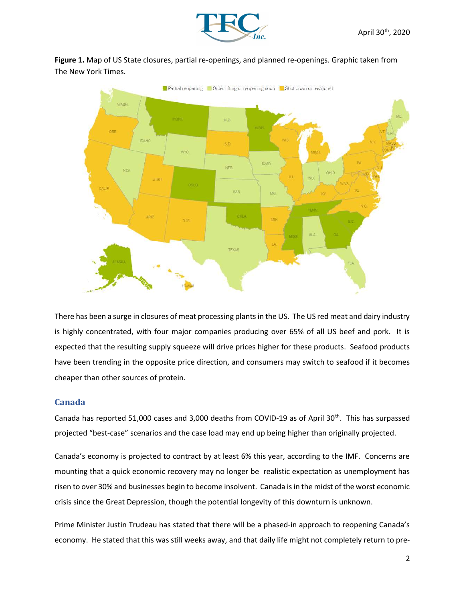

Figure 1. Map of US State closures, partial re-openings, and planned re-openings. Graphic taken from The New York Times.



There has been a surge in closures of meat processing plants in the US. The US red meat and dairy industry is highly concentrated, with four major companies producing over 65% of all US beef and pork. It is expected that the resulting supply squeeze will drive prices higher for these products. Seafood products have been trending in the opposite price direction, and consumers may switch to seafood if it becomes cheaper than other sources of protein.

#### Canada

Canada has reported 51,000 cases and 3,000 deaths from COVID-19 as of April 30<sup>th</sup>. This has surpassed projected "best-case" scenarios and the case load may end up being higher than originally projected.

Canada's economy is projected to contract by at least 6% this year, according to the IMF. Concerns are mounting that a quick economic recovery may no longer be realistic expectation as unemployment has risen to over 30% and businesses begin to become insolvent. Canada is in the midst of the worst economic crisis since the Great Depression, though the potential longevity of this downturn is unknown.

Prime Minister Justin Trudeau has stated that there will be a phased-in approach to reopening Canada's economy. He stated that this was still weeks away, and that daily life might not completely return to pre-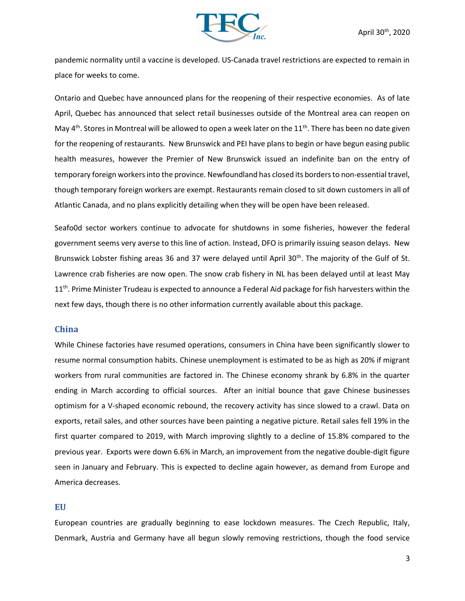

pandemic normality until a vaccine is developed. US-Canada travel restrictions are expected to remain in place for weeks to come.

Ontario and Quebec have announced plans for the reopening of their respective economies. As of late April, Quebec has announced that select retail businesses outside of the Montreal area can reopen on May  $4<sup>th</sup>$ . Stores in Montreal will be allowed to open a week later on the 11<sup>th</sup>. There has been no date given for the reopening of restaurants. New Brunswick and PEI have plans to begin or have begun easing public health measures, however the Premier of New Brunswick issued an indefinite ban on the entry of temporary foreign workers into the province. Newfoundland has closed its borders to non-essential travel, though temporary foreign workers are exempt. Restaurants remain closed to sit down customers in all of Atlantic Canada, and no plans explicitly detailing when they will be open have been released.

Seafo0d sector workers continue to advocate for shutdowns in some fisheries, however the federal government seems very averse to this line of action. Instead, DFO is primarily issuing season delays. New Brunswick Lobster fishing areas 36 and 37 were delayed until April  $30<sup>th</sup>$ . The majority of the Gulf of St. Lawrence crab fisheries are now open. The snow crab fishery in NL has been delayed until at least May 11<sup>th</sup>. Prime Minister Trudeau is expected to announce a Federal Aid package for fish harvesters within the next few days, though there is no other information currently available about this package.

#### China

While Chinese factories have resumed operations, consumers in China have been significantly slower to resume normal consumption habits. Chinese unemployment is estimated to be as high as 20% if migrant workers from rural communities are factored in. The Chinese economy shrank by 6.8% in the quarter ending in March according to official sources. After an initial bounce that gave Chinese businesses optimism for a V-shaped economic rebound, the recovery activity has since slowed to a crawl. Data on exports, retail sales, and other sources have been painting a negative picture. Retail sales fell 19% in the first quarter compared to 2019, with March improving slightly to a decline of 15.8% compared to the previous year. Exports were down 6.6% in March, an improvement from the negative double-digit figure seen in January and February. This is expected to decline again however, as demand from Europe and America decreases.

#### **EU**

European countries are gradually beginning to ease lockdown measures. The Czech Republic, Italy, Denmark, Austria and Germany have all begun slowly removing restrictions, though the food service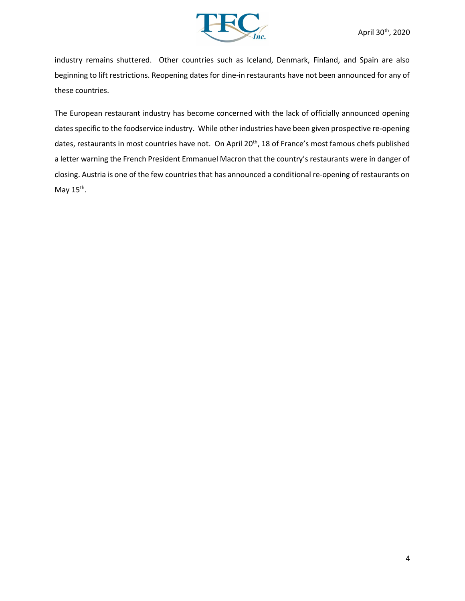

industry remains shuttered. Other countries such as Iceland, Denmark, Finland, and Spain are also beginning to lift restrictions. Reopening dates for dine-in restaurants have not been announced for any of these countries.

The European restaurant industry has become concerned with the lack of officially announced opening dates specific to the foodservice industry. While other industries have been given prospective re-opening dates, restaurants in most countries have not. On April 20<sup>th</sup>, 18 of France's most famous chefs published a letter warning the French President Emmanuel Macron that the country's restaurants were in danger of closing. Austria is one of the few countries that has announced a conditional re-opening of restaurants on May 15<sup>th</sup>.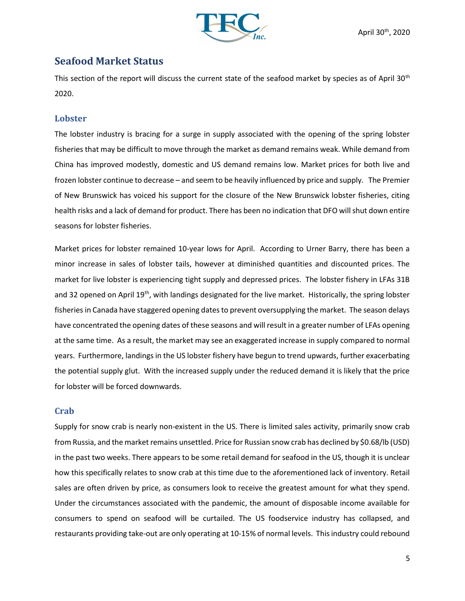

# Seafood Market Status

This section of the report will discuss the current state of the seafood market by species as of April 30<sup>th</sup> 2020.

#### Lobster

The lobster industry is bracing for a surge in supply associated with the opening of the spring lobster fisheries that may be difficult to move through the market as demand remains weak. While demand from China has improved modestly, domestic and US demand remains low. Market prices for both live and frozen lobster continue to decrease – and seem to be heavily influenced by price and supply. The Premier of New Brunswick has voiced his support for the closure of the New Brunswick lobster fisheries, citing health risks and a lack of demand for product. There has been no indication that DFO will shut down entire seasons for lobster fisheries.

Market prices for lobster remained 10-year lows for April. According to Urner Barry, there has been a minor increase in sales of lobster tails, however at diminished quantities and discounted prices. The market for live lobster is experiencing tight supply and depressed prices. The lobster fishery in LFAs 31B and 32 opened on April 19<sup>th</sup>, with landings designated for the live market. Historically, the spring lobster fisheries in Canada have staggered opening dates to prevent oversupplying the market. The season delays have concentrated the opening dates of these seasons and will result in a greater number of LFAs opening at the same time. As a result, the market may see an exaggerated increase in supply compared to normal years. Furthermore, landings in the US lobster fishery have begun to trend upwards, further exacerbating the potential supply glut. With the increased supply under the reduced demand it is likely that the price for lobster will be forced downwards.

#### **Crab**

Supply for snow crab is nearly non-existent in the US. There is limited sales activity, primarily snow crab from Russia, and the market remains unsettled. Price for Russian snow crab has declined by \$0.68/lb (USD) in the past two weeks. There appears to be some retail demand for seafood in the US, though it is unclear how this specifically relates to snow crab at this time due to the aforementioned lack of inventory. Retail sales are often driven by price, as consumers look to receive the greatest amount for what they spend. Under the circumstances associated with the pandemic, the amount of disposable income available for consumers to spend on seafood will be curtailed. The US foodservice industry has collapsed, and restaurants providing take-out are only operating at 10-15% of normal levels. This industry could rebound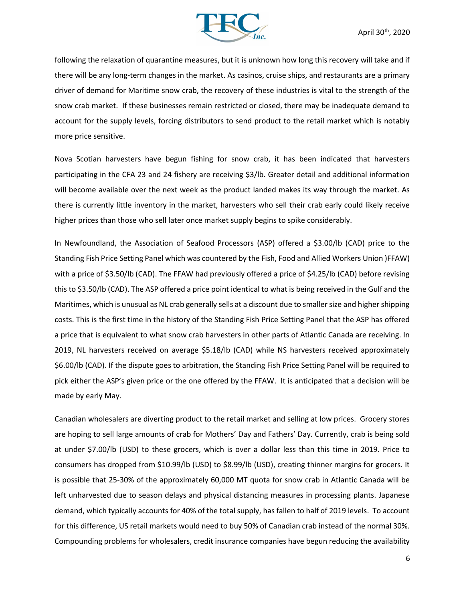

following the relaxation of quarantine measures, but it is unknown how long this recovery will take and if there will be any long-term changes in the market. As casinos, cruise ships, and restaurants are a primary driver of demand for Maritime snow crab, the recovery of these industries is vital to the strength of the snow crab market. If these businesses remain restricted or closed, there may be inadequate demand to account for the supply levels, forcing distributors to send product to the retail market which is notably more price sensitive.

Nova Scotian harvesters have begun fishing for snow crab, it has been indicated that harvesters participating in the CFA 23 and 24 fishery are receiving \$3/lb. Greater detail and additional information will become available over the next week as the product landed makes its way through the market. As there is currently little inventory in the market, harvesters who sell their crab early could likely receive higher prices than those who sell later once market supply begins to spike considerably.

In Newfoundland, the Association of Seafood Processors (ASP) offered a \$3.00/lb (CAD) price to the Standing Fish Price Setting Panel which was countered by the Fish, Food and Allied Workers Union )FFAW) with a price of \$3.50/lb (CAD). The FFAW had previously offered a price of \$4.25/lb (CAD) before revising this to \$3.50/lb (CAD). The ASP offered a price point identical to what is being received in the Gulf and the Maritimes, which is unusual as NL crab generally sells at a discount due to smaller size and higher shipping costs. This is the first time in the history of the Standing Fish Price Setting Panel that the ASP has offered a price that is equivalent to what snow crab harvesters in other parts of Atlantic Canada are receiving. In 2019, NL harvesters received on average \$5.18/lb (CAD) while NS harvesters received approximately \$6.00/lb (CAD). If the dispute goes to arbitration, the Standing Fish Price Setting Panel will be required to pick either the ASP's given price or the one offered by the FFAW. It is anticipated that a decision will be made by early May.

Canadian wholesalers are diverting product to the retail market and selling at low prices. Grocery stores are hoping to sell large amounts of crab for Mothers' Day and Fathers' Day. Currently, crab is being sold at under \$7.00/lb (USD) to these grocers, which is over a dollar less than this time in 2019. Price to consumers has dropped from \$10.99/lb (USD) to \$8.99/lb (USD), creating thinner margins for grocers. It is possible that 25-30% of the approximately 60,000 MT quota for snow crab in Atlantic Canada will be left unharvested due to season delays and physical distancing measures in processing plants. Japanese demand, which typically accounts for 40% of the total supply, has fallen to half of 2019 levels. To account for this difference, US retail markets would need to buy 50% of Canadian crab instead of the normal 30%. Compounding problems for wholesalers, credit insurance companies have begun reducing the availability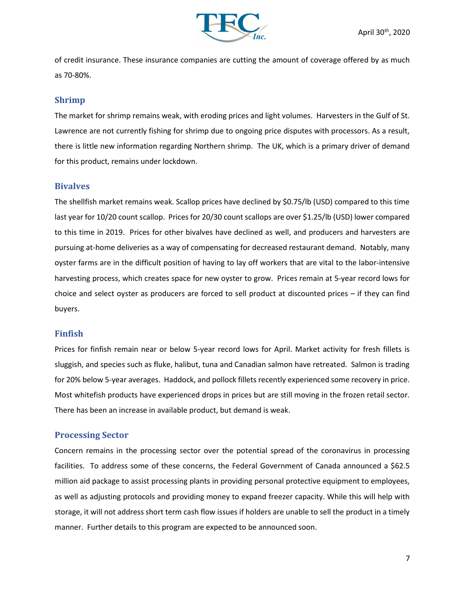

of credit insurance. These insurance companies are cutting the amount of coverage offered by as much as 70-80%.

#### Shrimp

The market for shrimp remains weak, with eroding prices and light volumes. Harvesters in the Gulf of St. Lawrence are not currently fishing for shrimp due to ongoing price disputes with processors. As a result, there is little new information regarding Northern shrimp. The UK, which is a primary driver of demand for this product, remains under lockdown.

#### **Bivalves**

The shellfish market remains weak. Scallop prices have declined by \$0.75/lb (USD) compared to this time last year for 10/20 count scallop. Prices for 20/30 count scallops are over \$1.25/lb (USD) lower compared to this time in 2019. Prices for other bivalves have declined as well, and producers and harvesters are pursuing at-home deliveries as a way of compensating for decreased restaurant demand. Notably, many oyster farms are in the difficult position of having to lay off workers that are vital to the labor-intensive harvesting process, which creates space for new oyster to grow. Prices remain at 5-year record lows for choice and select oyster as producers are forced to sell product at discounted prices – if they can find buyers.

#### Finfish

Prices for finfish remain near or below 5-year record lows for April. Market activity for fresh fillets is sluggish, and species such as fluke, halibut, tuna and Canadian salmon have retreated. Salmon is trading for 20% below 5-year averages. Haddock, and pollock fillets recently experienced some recovery in price. Most whitefish products have experienced drops in prices but are still moving in the frozen retail sector. There has been an increase in available product, but demand is weak.

#### Processing Sector

Concern remains in the processing sector over the potential spread of the coronavirus in processing facilities. To address some of these concerns, the Federal Government of Canada announced a \$62.5 million aid package to assist processing plants in providing personal protective equipment to employees, as well as adjusting protocols and providing money to expand freezer capacity. While this will help with storage, it will not address short term cash flow issues if holders are unable to sell the product in a timely manner. Further details to this program are expected to be announced soon.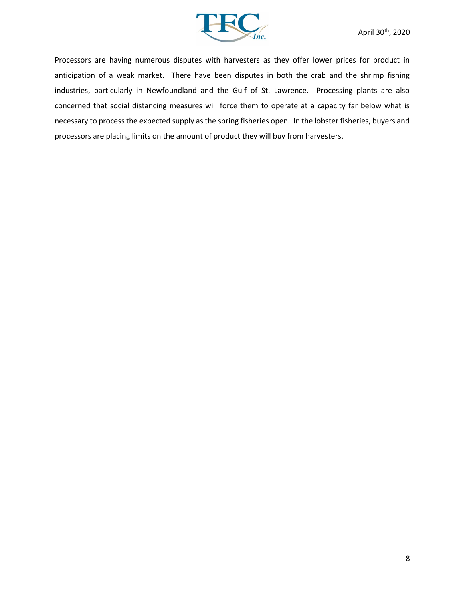

Processors are having numerous disputes with harvesters as they offer lower prices for product in anticipation of a weak market. There have been disputes in both the crab and the shrimp fishing industries, particularly in Newfoundland and the Gulf of St. Lawrence. Processing plants are also concerned that social distancing measures will force them to operate at a capacity far below what is necessary to process the expected supply as the spring fisheries open. In the lobster fisheries, buyers and processors are placing limits on the amount of product they will buy from harvesters.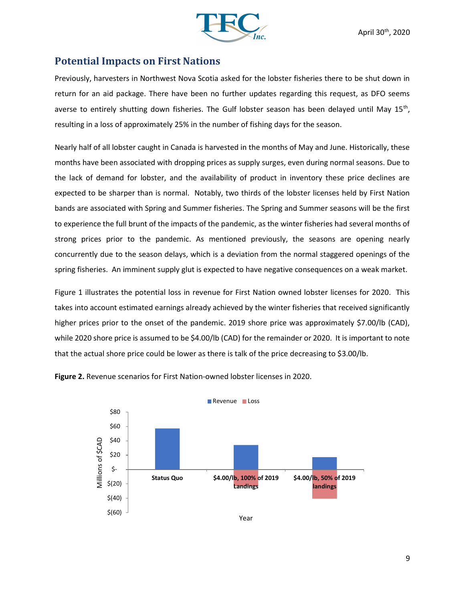

## Potential Impacts on First Nations

Previously, harvesters in Northwest Nova Scotia asked for the lobster fisheries there to be shut down in return for an aid package. There have been no further updates regarding this request, as DFO seems averse to entirely shutting down fisheries. The Gulf lobster season has been delayed until May 15<sup>th</sup>, resulting in a loss of approximately 25% in the number of fishing days for the season.

Nearly half of all lobster caught in Canada is harvested in the months of May and June. Historically, these months have been associated with dropping prices as supply surges, even during normal seasons. Due to the lack of demand for lobster, and the availability of product in inventory these price declines are expected to be sharper than is normal. Notably, two thirds of the lobster licenses held by First Nation bands are associated with Spring and Summer fisheries. The Spring and Summer seasons will be the first to experience the full brunt of the impacts of the pandemic, as the winter fisheries had several months of strong prices prior to the pandemic. As mentioned previously, the seasons are opening nearly concurrently due to the season delays, which is a deviation from the normal staggered openings of the spring fisheries. An imminent supply glut is expected to have negative consequences on a weak market.

Figure 1 illustrates the potential loss in revenue for First Nation owned lobster licenses for 2020. This takes into account estimated earnings already achieved by the winter fisheries that received significantly higher prices prior to the onset of the pandemic. 2019 shore price was approximately \$7.00/lb (CAD), while 2020 shore price is assumed to be \$4.00/lb (CAD) for the remainder or 2020. It is important to note that the actual shore price could be lower as there is talk of the price decreasing to \$3.00/lb.



Figure 2. Revenue scenarios for First Nation-owned lobster licenses in 2020.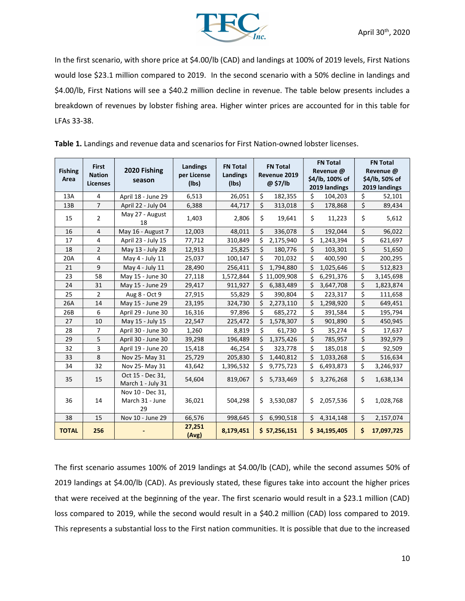

In the first scenario, with shore price at \$4.00/lb (CAD) and landings at 100% of 2019 levels, First Nations would lose \$23.1 million compared to 2019. In the second scenario with a 50% decline in landings and \$4.00/lb, First Nations will see a \$40.2 million decline in revenue. The table below presents includes a breakdown of revenues by lobster fishing area. Higher winter prices are accounted for in this table for LFAs 33-38.

| <b>Fishing</b><br>Area | <b>First</b><br><b>Nation</b><br><b>Licenses</b> | 2020 Fishing<br>season                    | Landings<br>per License<br>(Ibs) | <b>FN Total</b><br>Landings<br>(Ibs) | <b>FN Total</b><br>Revenue 2019<br>@ \$7/lb | <b>FN Total</b><br>Revenue @<br>\$4/lb, 100% of<br>2019 landings | <b>FN Total</b><br>Revenue @<br>\$4/lb, 50% of<br>2019 landings |  |
|------------------------|--------------------------------------------------|-------------------------------------------|----------------------------------|--------------------------------------|---------------------------------------------|------------------------------------------------------------------|-----------------------------------------------------------------|--|
| 13A                    | $\overline{4}$                                   | April 18 - June 29                        | 6,513                            | 26,051                               | \$<br>182,355                               | \$<br>104,203                                                    | \$<br>52,101                                                    |  |
| 13B                    | $\overline{7}$                                   | April 22 - July 04                        | 6,388                            | 44,717                               | \$<br>313,018                               | \$<br>178,868                                                    | \$<br>89,434                                                    |  |
| 15                     | $\overline{2}$                                   | May 27 - August<br>18                     | 1,403                            | 2,806                                | \$<br>19,641                                | \$<br>11,223                                                     | \$<br>5,612                                                     |  |
| 16                     | $\overline{4}$                                   | May 16 - August 7                         | 12,003                           | 48,011                               | \$<br>336,078                               | \$<br>192,044                                                    | \$<br>96,022                                                    |  |
| 17                     | 4                                                | April 23 - July 15                        | 77,712                           | 310,849                              | Ś<br>2,175,940                              | \$<br>1,243,394                                                  | \$<br>621,697                                                   |  |
| 18                     | $\overline{2}$                                   | May 13 - July 28                          | 12,913                           | 25,825                               | \$<br>180,776                               | \$<br>103,301                                                    | \$<br>51,650                                                    |  |
| 20A                    | 4                                                | May 4 - July 11                           | 25,037                           | 100,147                              | \$<br>701,032                               | \$<br>400,590                                                    | \$<br>200,295                                                   |  |
| 21                     | 9                                                | May 4 - July 11                           | 28,490                           | 256,411                              | Ś<br>1,794,880                              | \$<br>1,025,646                                                  | \$<br>512,823                                                   |  |
| 23                     | 58                                               | May 15 - June 30                          | 27,118                           | 1,572,844                            | Ś.<br>11,009,908                            | \$<br>6,291,376                                                  | \$<br>3,145,698                                                 |  |
| 24                     | 31                                               | May 15 - June 29                          | 29,417                           | 911,927                              | \$<br>6,383,489                             | \$<br>3,647,708                                                  | \$<br>1,823,874                                                 |  |
| 25                     | $\overline{2}$                                   | Aug 8 - Oct 9                             | 27,915                           | 55,829                               | \$<br>390,804                               | \$<br>223,317                                                    | \$<br>111,658                                                   |  |
| 26A                    | 14                                               | May 15 - June 29                          | 23,195                           | 324,730                              | \$<br>2,273,110                             | \$<br>1,298,920                                                  | \$<br>649,451                                                   |  |
| 26B                    | 6                                                | April 29 - June 30                        | 16,316                           | 97,896                               | Ś.<br>685,272                               | \$<br>391,584                                                    | \$<br>195,794                                                   |  |
| 27                     | 10                                               | May 15 - July 15                          | 22,547                           | 225,472                              | \$<br>1,578,307                             | \$<br>901,890                                                    | \$<br>450,945                                                   |  |
| 28                     | $\overline{7}$                                   | April 30 - June 30                        | 1,260                            | 8,819                                | \$<br>61,730                                | \$<br>35,274                                                     | \$<br>17,637                                                    |  |
| 29                     | 5                                                | April 30 - June 30                        | 39,298                           | 196,489                              | \$<br>1,375,426                             | \$<br>785,957                                                    | \$<br>392,979                                                   |  |
| 32                     | 3                                                | April 19 - June 20                        | 15,418                           | 46,254                               | \$<br>323,778                               | \$<br>185,018                                                    | \$<br>92,509                                                    |  |
| 33                     | 8                                                | Nov 25- May 31                            | 25,729                           | 205,830                              | Ś.<br>1,440,812                             | \$<br>1,033,268                                                  | \$<br>516,634                                                   |  |
| 34                     | 32                                               | Nov 25- May 31                            | 43,642                           | 1,396,532                            | \$<br>9,775,723                             | \$<br>6,493,873                                                  | \$<br>3,246,937                                                 |  |
| 35                     | 15                                               | Oct 15 - Dec 31,<br>March 1 - July 31     | 54,604                           | 819,067                              | Ś<br>5,733,469                              | \$<br>3,276,268                                                  | \$<br>1,638,134                                                 |  |
| 36                     | 14                                               | Nov 10 - Dec 31,<br>March 31 - June<br>29 | 36,021                           | 504,298                              | Ś.<br>3,530,087                             | Ś.<br>2,057,536                                                  | \$<br>1,028,768                                                 |  |
| 38                     | 15                                               | Nov 10 - June 29                          | 66,576                           | 998,645                              | Ś.<br>6,990,518                             | \$.<br>4,314,148                                                 | \$<br>2,157,074                                                 |  |
| <b>TOTAL</b>           | 256                                              |                                           | 27,251<br>(Avg)                  | 8,179,451                            | \$ 57,256,151                               | \$34,195,405                                                     | Ś.<br>17,097,725                                                |  |

Table 1. Landings and revenue data and scenarios for First Nation-owned lobster licenses.

The first scenario assumes 100% of 2019 landings at \$4.00/lb (CAD), while the second assumes 50% of 2019 landings at \$4.00/lb (CAD). As previously stated, these figures take into account the higher prices that were received at the beginning of the year. The first scenario would result in a \$23.1 million (CAD) loss compared to 2019, while the second would result in a \$40.2 million (CAD) loss compared to 2019. This represents a substantial loss to the First nation communities. It is possible that due to the increased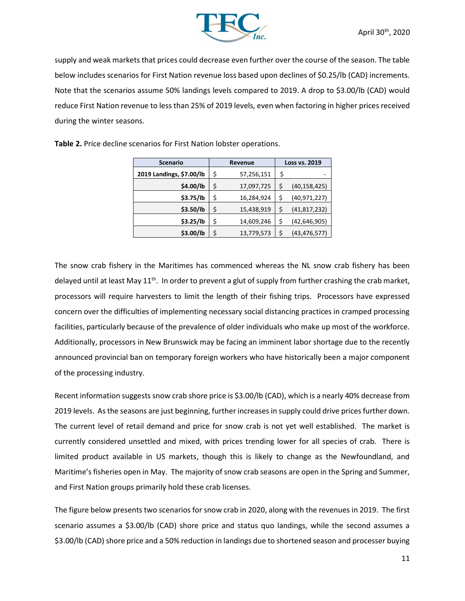

supply and weak markets that prices could decrease even further over the course of the season. The table below includes scenarios for First Nation revenue loss based upon declines of \$0.25/lb (CAD) increments. Note that the scenarios assume 50% landings levels compared to 2019. A drop to \$3.00/lb (CAD) would reduce First Nation revenue to less than 25% of 2019 levels, even when factoring in higher prices received during the winter seasons.

| <b>Scenario</b>          |    | Revenue    | <b>Loss vs. 2019</b> |                |  |
|--------------------------|----|------------|----------------------|----------------|--|
| 2019 Landings, \$7.00/lb | \$ | 57,256,151 | \$                   |                |  |
| \$4.00/lb                | \$ | 17,097,725 | \$                   | (40, 158, 425) |  |
| \$3.75/lb                | \$ | 16,284,924 | \$                   | (40, 971, 227) |  |
| \$3.50/lb                | \$ | 15,438,919 | \$                   | (41, 817, 232) |  |
| \$3.25/lb                | \$ | 14,609,246 | \$                   | (42, 646, 905) |  |
| \$3.00/lb                | \$ | 13,779,573 | \$                   | (43, 476, 577) |  |

Table 2. Price decline scenarios for First Nation lobster operations.

The snow crab fishery in the Maritimes has commenced whereas the NL snow crab fishery has been delayed until at least May  $11<sup>th</sup>$ . In order to prevent a glut of supply from further crashing the crab market, processors will require harvesters to limit the length of their fishing trips. Processors have expressed concern over the difficulties of implementing necessary social distancing practices in cramped processing facilities, particularly because of the prevalence of older individuals who make up most of the workforce. Additionally, processors in New Brunswick may be facing an imminent labor shortage due to the recently announced provincial ban on temporary foreign workers who have historically been a major component of the processing industry.

Recent information suggests snow crab shore price is \$3.00/lb (CAD), which is a nearly 40% decrease from 2019 levels. As the seasons are just beginning, further increases in supply could drive prices further down. The current level of retail demand and price for snow crab is not yet well established. The market is currently considered unsettled and mixed, with prices trending lower for all species of crab. There is limited product available in US markets, though this is likely to change as the Newfoundland, and Maritime's fisheries open in May. The majority of snow crab seasons are open in the Spring and Summer, and First Nation groups primarily hold these crab licenses.

The figure below presents two scenarios for snow crab in 2020, along with the revenues in 2019. The first scenario assumes a \$3.00/lb (CAD) shore price and status quo landings, while the second assumes a \$3.00/lb (CAD) shore price and a 50% reduction in landings due to shortened season and processer buying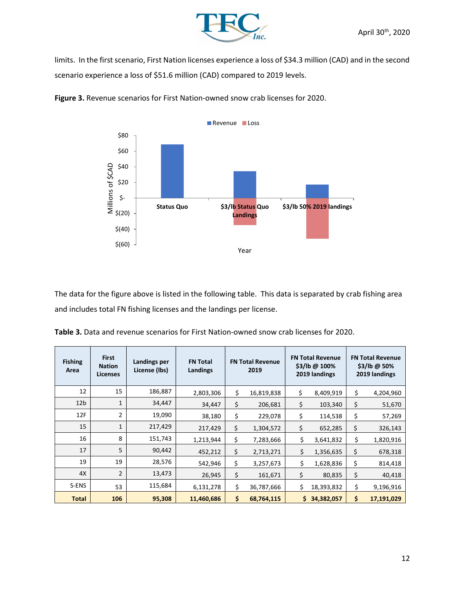

limits. In the first scenario, First Nation licenses experience a loss of \$34.3 million (CAD) and in the second scenario experience a loss of \$51.6 million (CAD) compared to 2019 levels.



Figure 3. Revenue scenarios for First Nation-owned snow crab licenses for 2020.

The data for the figure above is listed in the following table. This data is separated by crab fishing area and includes total FN fishing licenses and the landings per license.

|  | Table 3. Data and revenue scenarios for First Nation-owned snow crab licenses for 2020. |  |  |
|--|-----------------------------------------------------------------------------------------|--|--|
|--|-----------------------------------------------------------------------------------------|--|--|

| <b>Fishing</b><br>Area | <b>First</b><br><b>Nation</b><br><b>Licenses</b> | Landings per<br>License (lbs) | <b>FN Total</b><br>Landings | <b>FN Total Revenue</b><br>2019 |            | <b>FN Total Revenue</b><br>\$3/lb @ 100%<br>2019 landings |            | <b>FN Total Revenue</b><br>$$3/lb@50\%$<br>2019 landings |            |
|------------------------|--------------------------------------------------|-------------------------------|-----------------------------|---------------------------------|------------|-----------------------------------------------------------|------------|----------------------------------------------------------|------------|
| 12                     | 15                                               | 186,887                       | 2,803,306                   | \$                              | 16,819,838 | \$                                                        | 8,409,919  | \$                                                       | 4,204,960  |
| 12 <sub>b</sub>        | 1                                                | 34,447                        | 34,447                      | \$                              | 206,681    | \$                                                        | 103,340    | \$                                                       | 51,670     |
| 12F                    | 2                                                | 19,090                        | 38,180                      | \$                              | 229,078    | \$                                                        | 114,538    | \$                                                       | 57,269     |
| 15                     | 1                                                | 217,429                       | 217,429                     | \$                              | 1,304,572  | \$                                                        | 652,285    | \$                                                       | 326,143    |
| 16                     | 8                                                | 151,743                       | 1,213,944                   | \$                              | 7,283,666  | \$                                                        | 3,641,832  | \$                                                       | 1,820,916  |
| 17                     | 5                                                | 90,442                        | 452,212                     | \$                              | 2,713,271  | \$                                                        | 1,356,635  | \$                                                       | 678,318    |
| 19                     | 19                                               | 28,576                        | 542,946                     | \$                              | 3,257,673  | \$                                                        | 1,628,836  | \$                                                       | 814,418    |
| 4X                     | $\overline{2}$                                   | 13,473                        | 26,945                      | \$                              | 161,671    | \$                                                        | 80,835     | \$                                                       | 40,418     |
| S-ENS                  | 53                                               | 115,684                       | 6,131,278                   | \$                              | 36,787,666 | \$                                                        | 18,393,832 | \$                                                       | 9,196,916  |
| <b>Total</b>           | 106                                              | 95,308                        | 11,460,686                  | \$                              | 68,764,115 | \$                                                        | 34,382,057 | \$                                                       | 17,191,029 |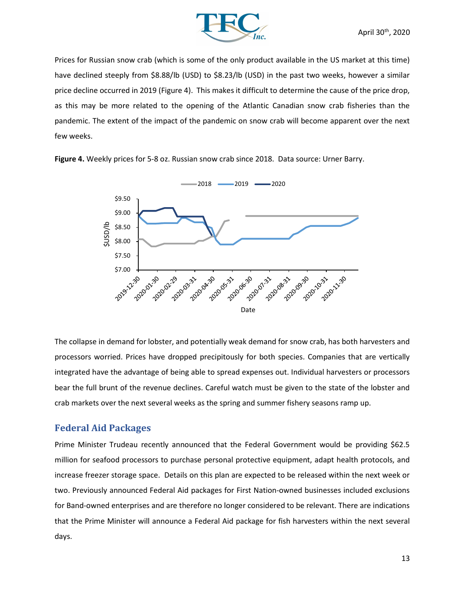

Prices for Russian snow crab (which is some of the only product available in the US market at this time) have declined steeply from \$8.88/lb (USD) to \$8.23/lb (USD) in the past two weeks, however a similar price decline occurred in 2019 (Figure 4). This makes it difficult to determine the cause of the price drop, as this may be more related to the opening of the Atlantic Canadian snow crab fisheries than the pandemic. The extent of the impact of the pandemic on snow crab will become apparent over the next few weeks.



Figure 4. Weekly prices for 5-8 oz. Russian snow crab since 2018. Data source: Urner Barry.

The collapse in demand for lobster, and potentially weak demand for snow crab, has both harvesters and processors worried. Prices have dropped precipitously for both species. Companies that are vertically integrated have the advantage of being able to spread expenses out. Individual harvesters or processors bear the full brunt of the revenue declines. Careful watch must be given to the state of the lobster and crab markets over the next several weeks as the spring and summer fishery seasons ramp up.

## Federal Aid Packages

Prime Minister Trudeau recently announced that the Federal Government would be providing \$62.5 million for seafood processors to purchase personal protective equipment, adapt health protocols, and increase freezer storage space. Details on this plan are expected to be released within the next week or two. Previously announced Federal Aid packages for First Nation-owned businesses included exclusions for Band-owned enterprises and are therefore no longer considered to be relevant. There are indications that the Prime Minister will announce a Federal Aid package for fish harvesters within the next several days.